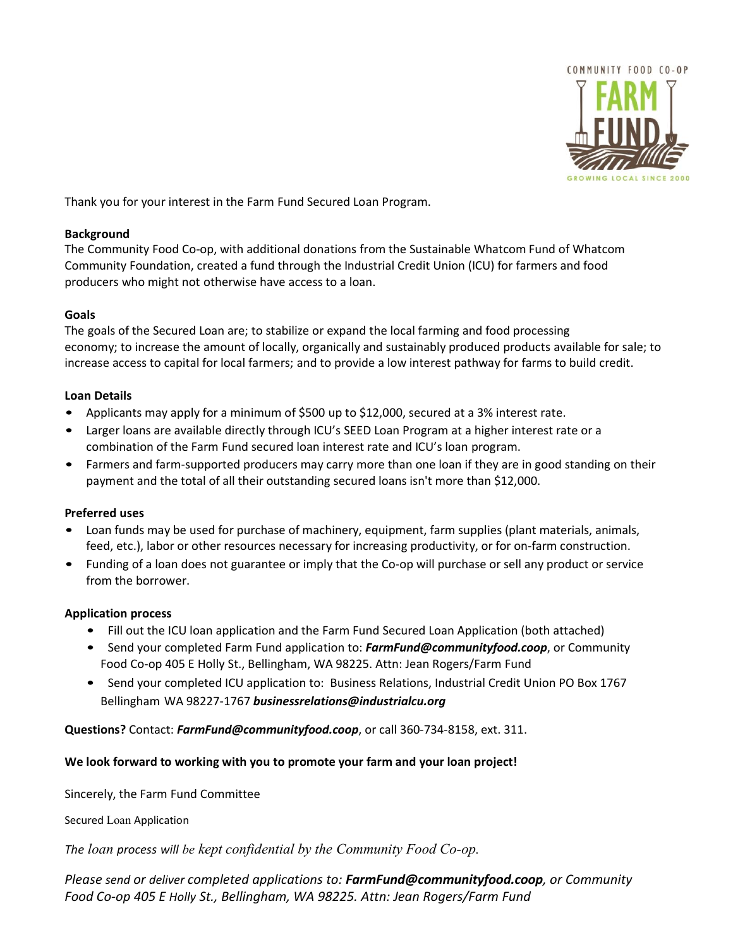

Thank you for your interest in the Farm Fund Secured Loan Program.

# **Background**

The Community Food Co-op, with additional donations from the Sustainable Whatcom Fund of Whatcom Community Foundation, created a fund through the Industrial Credit Union (ICU) for farmers and food producers who might not otherwise have access to a loan.

# **Goals**

The goals of the Secured Loan are; to stabilize or expand the local farming and food processing economy; to increase the amount of locally, organically and sustainably produced products available for sale; to increase access to capital for local farmers; and to provide a low interest pathway for farms to build credit.

## **Loan Details**

- Applicants may apply for a minimum of \$500 up to \$12,000, secured at a 3% interest rate.
- Larger loans are available directly through ICU's SEED Loan Program at a higher interest rate or a combination of the Farm Fund secured loan interest rate and ICU's loan program.
- Farmers and farm-supported producers may carry more than one loan if they are in good standing on their payment and the total of all their outstanding secured loans isn't more than \$12,000.

## **Preferred uses**

- Loan funds may be used for purchase of machinery, equipment, farm supplies (plant materials, animals, feed, etc.), labor or other resources necessary for increasing productivity, or for on-farm construction.
- Funding of a loan does not guarantee or imply that the Co-op will purchase or sell any product or service from the borrower.

## **Application process**

- Fill out the ICU loan application and the Farm Fund Secured Loan Application (both attached)
- Send your completed Farm Fund application to: *[FarmFund@communityfood.coop](mailto:jeanr@communityfood.coop)*, or Community Food Co-op 405 E Holly St., Bellingham, WA 98225. Attn: Jean Rogers/Farm Fund
- Send your completed ICU application to: Business Relations, Industrial Credit Union PO Box 1767 BellinghamWA 98227-1767 *businessrelations@industrialcu.org*

**Questions?** Contact: *FarmFund[@communityfood.coop](mailto:jeanr@communityfood.coop)*, or call 360-734-8158, ext. 311.

## **We look forward to working with you to promote your farm and your loan project!**

Sincerely, the Farm Fund Committee

Secured Loan Application

*The loan process will be kept confidential by the Community Food Co-op.*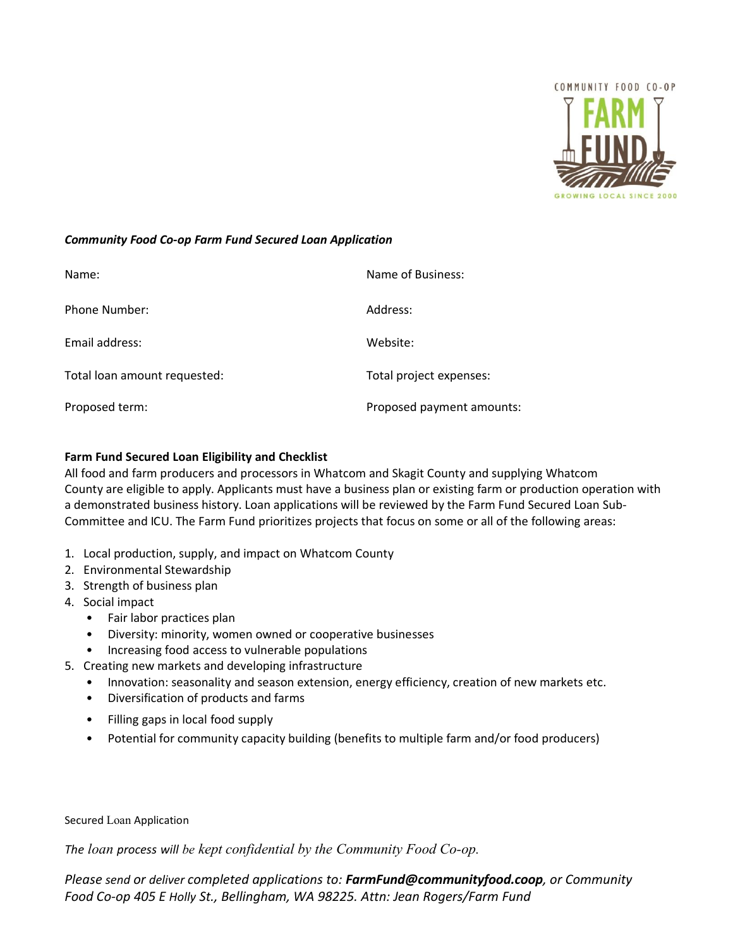

## *Community Food Co-op Farm Fund Secured Loan Application*

| Name:                        | Name of Business:         |
|------------------------------|---------------------------|
| Phone Number:                | Address:                  |
| Email address:               | Website:                  |
| Total loan amount requested: | Total project expenses:   |
| Proposed term:               | Proposed payment amounts: |

## **Farm Fund Secured Loan Eligibility and Checklist**

All food and farm producers and processors in Whatcom and Skagit County and supplying Whatcom County are eligible to apply. Applicants must have a business plan or existing farm or production operation with a demonstrated business history. Loan applications will be reviewed by the Farm Fund Secured Loan Sub-Committee and ICU. The Farm Fund prioritizes projects that focus on some or all of the following areas:

- 1. Local production, supply, and impact on Whatcom County
- 2. Environmental Stewardship
- 3. Strength of business plan
- 4. Social impact
	- Fair labor practices plan
	- Diversity: minority, women owned or cooperative businesses
	- Increasing food access to vulnerable populations
- 5. Creating new markets and developing infrastructure
	- Innovation: seasonality and season extension, energy efficiency, creation of new markets etc.
	- Diversification of products and farms
	- Filling gaps in local food supply
	- Potential for community capacity building (benefits to multiple farm and/or food producers)

#### Secured Loan Application

*The loan process will be kept confidential by the Community Food Co-op.*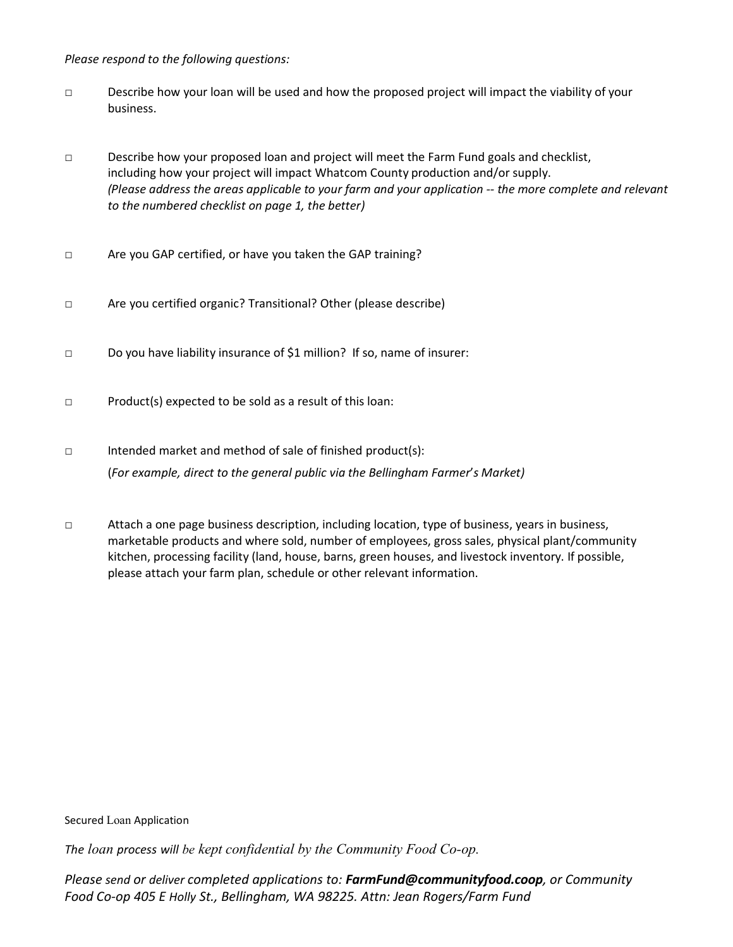*Please respond to the following questions:*

- □ Describe how your loan will be used and how the proposed project will impact the viability of your business.
- □ Describe how your proposed loan and project will meet the Farm Fund goals and checklist, including how your project will impact Whatcom County production and/or supply. *(Please address the areas applicable to your farm and your application -- the more complete and relevant to the numbered checklist on page 1, the better)*
- □ Are you GAP certified, or have you taken the GAP training?
- □ Are you certified organic? Transitional? Other (please describe)
- □ Do you have liability insurance of \$1 million? If so, name of insurer:
- □ Product(s) expected to be sold as a result of this loan:
- □ Intended market and method of sale of finished product(s): (*For example, direct to the general public via the Bellingham Farmer*'*s Market)*
- □ Attach a one page business description, including location, type of business, years in business, marketable products and where sold, number of employees, gross sales, physical plant/community kitchen, processing facility (land, house, barns, green houses, and livestock inventory. If possible, please attach your farm plan, schedule or other relevant information.

Secured Loan Application

*The loan process will be kept confidential by the Community Food Co-op.*